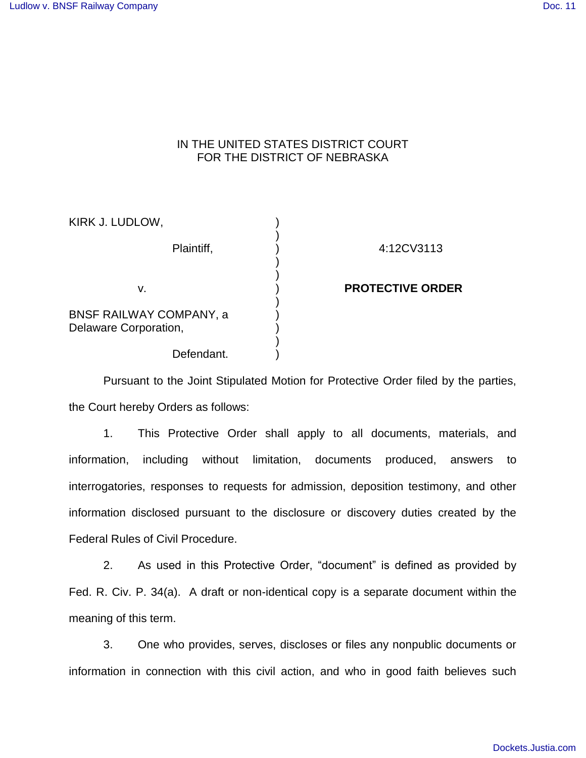## IN THE UNITED STATES DISTRICT COURT FOR THE DISTRICT OF NEBRASKA

| KIRK J. LUDLOW,                                         |                         |
|---------------------------------------------------------|-------------------------|
| Plaintiff,                                              | 4:12CV3113              |
| v.                                                      | <b>PROTECTIVE ORDER</b> |
| <b>BNSF RAILWAY COMPANY, a</b><br>Delaware Corporation, |                         |
| Defendant.                                              |                         |

Pursuant to the Joint Stipulated Motion for Protective Order filed by the parties, the Court hereby Orders as follows:

1. This Protective Order shall apply to all documents, materials, and information, including without limitation, documents produced, answers to interrogatories, responses to requests for admission, deposition testimony, and other information disclosed pursuant to the disclosure or discovery duties created by the Federal Rules of Civil Procedure.

2. As used in this Protective Order, "document" is defined as provided by Fed. R. Civ. P. 34(a). A draft or non-identical copy is a separate document within the meaning of this term.

3. One who provides, serves, discloses or files any nonpublic documents or information in connection with this civil action, and who in good faith believes such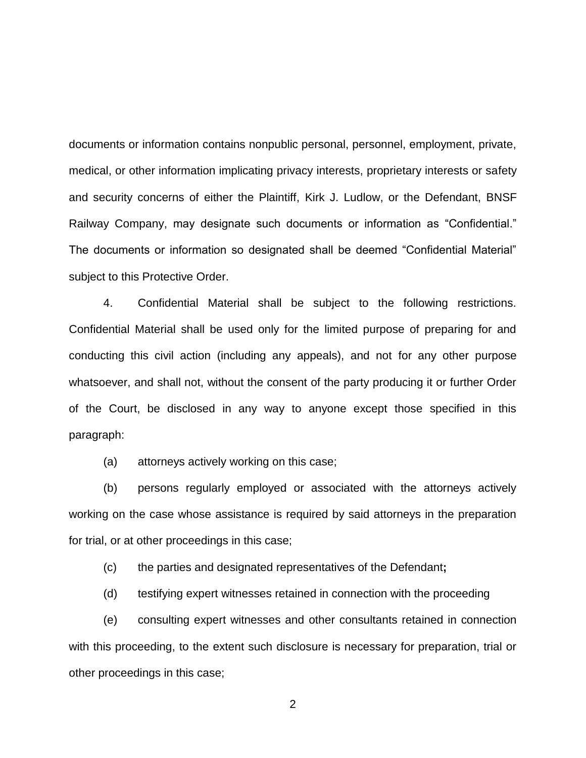documents or information contains nonpublic personal, personnel, employment, private, medical, or other information implicating privacy interests, proprietary interests or safety and security concerns of either the Plaintiff, Kirk J. Ludlow, or the Defendant, BNSF Railway Company, may designate such documents or information as "Confidential." The documents or information so designated shall be deemed "Confidential Material" subject to this Protective Order.

4. Confidential Material shall be subject to the following restrictions. Confidential Material shall be used only for the limited purpose of preparing for and conducting this civil action (including any appeals), and not for any other purpose whatsoever, and shall not, without the consent of the party producing it or further Order of the Court, be disclosed in any way to anyone except those specified in this paragraph:

(a) attorneys actively working on this case;

 (b) persons regularly employed or associated with the attorneys actively working on the case whose assistance is required by said attorneys in the preparation for trial, or at other proceedings in this case;

(c) the parties and designated representatives of the Defendant**;** 

(d) testifying expert witnesses retained in connection with the proceeding

 (e) consulting expert witnesses and other consultants retained in connection with this proceeding, to the extent such disclosure is necessary for preparation, trial or other proceedings in this case;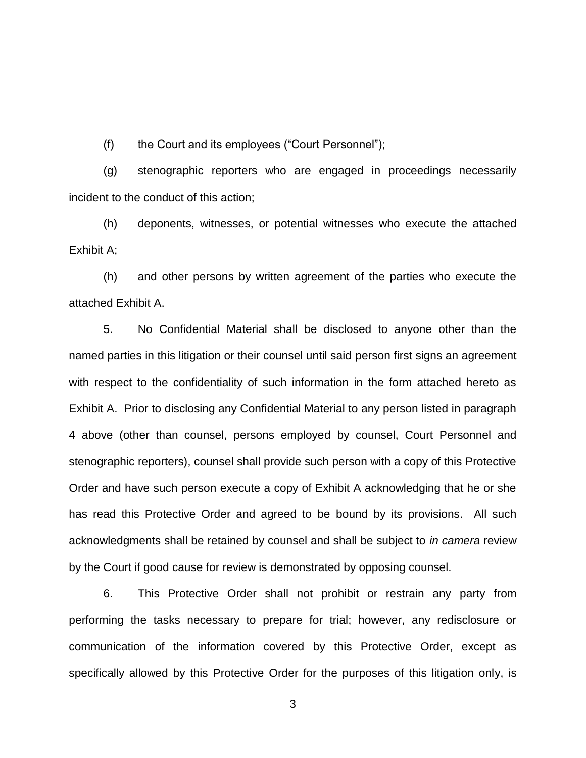(f) the Court and its employees ("Court Personnel");

 (g) stenographic reporters who are engaged in proceedings necessarily incident to the conduct of this action;

 (h) deponents, witnesses, or potential witnesses who execute the attached Exhibit A;

(h) and other persons by written agreement of the parties who execute the attached Exhibit A.

5. No Confidential Material shall be disclosed to anyone other than the named parties in this litigation or their counsel until said person first signs an agreement with respect to the confidentiality of such information in the form attached hereto as Exhibit A. Prior to disclosing any Confidential Material to any person listed in paragraph 4 above (other than counsel, persons employed by counsel, Court Personnel and stenographic reporters), counsel shall provide such person with a copy of this Protective Order and have such person execute a copy of Exhibit A acknowledging that he or she has read this Protective Order and agreed to be bound by its provisions. All such acknowledgments shall be retained by counsel and shall be subject to in camera review by the Court if good cause for review is demonstrated by opposing counsel.

6. This Protective Order shall not prohibit or restrain any party from performing the tasks necessary to prepare for trial; however, any redisclosure or communication of the information covered by this Protective Order, except as specifically allowed by this Protective Order for the purposes of this litigation only, is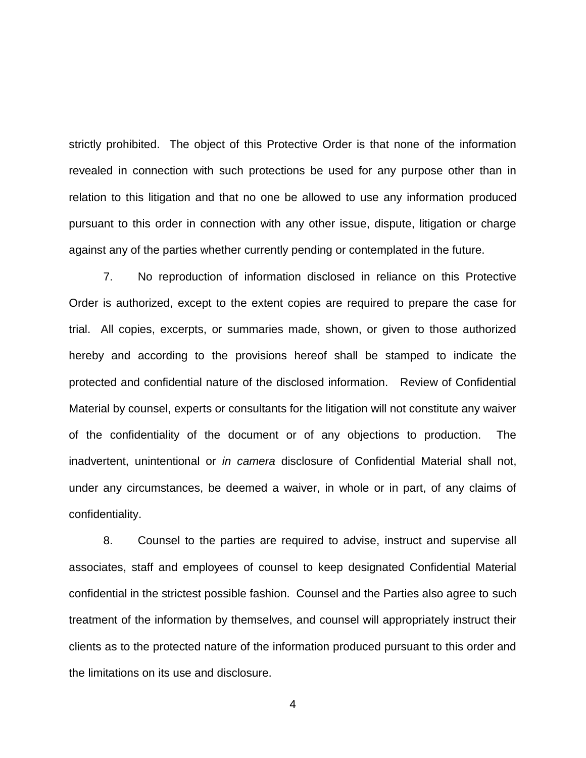strictly prohibited. The object of this Protective Order is that none of the information revealed in connection with such protections be used for any purpose other than in relation to this litigation and that no one be allowed to use any information produced pursuant to this order in connection with any other issue, dispute, litigation or charge against any of the parties whether currently pending or contemplated in the future.

7. No reproduction of information disclosed in reliance on this Protective Order is authorized, except to the extent copies are required to prepare the case for trial. All copies, excerpts, or summaries made, shown, or given to those authorized hereby and according to the provisions hereof shall be stamped to indicate the protected and confidential nature of the disclosed information. Review of Confidential Material by counsel, experts or consultants for the litigation will not constitute any waiver of the confidentiality of the document or of any objections to production. The inadvertent, unintentional or in camera disclosure of Confidential Material shall not, under any circumstances, be deemed a waiver, in whole or in part, of any claims of confidentiality.

 8. Counsel to the parties are required to advise, instruct and supervise all associates, staff and employees of counsel to keep designated Confidential Material confidential in the strictest possible fashion. Counsel and the Parties also agree to such treatment of the information by themselves, and counsel will appropriately instruct their clients as to the protected nature of the information produced pursuant to this order and the limitations on its use and disclosure.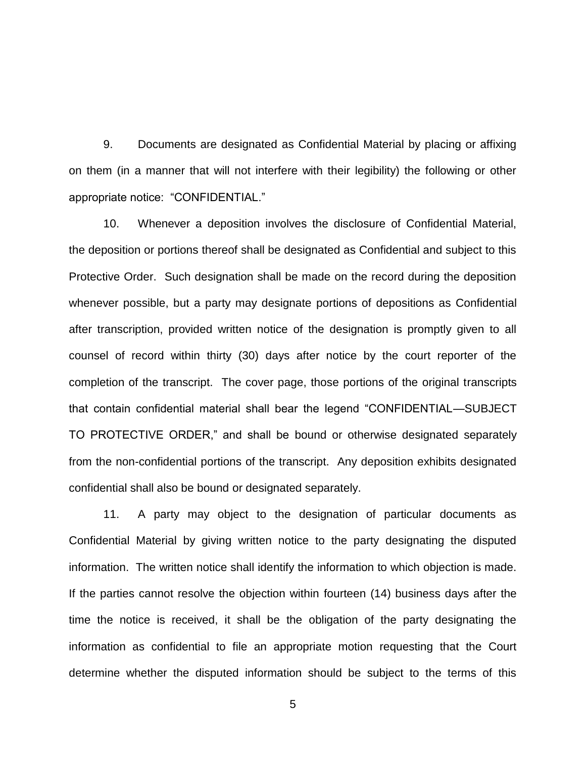9. Documents are designated as Confidential Material by placing or affixing on them (in a manner that will not interfere with their legibility) the following or other appropriate notice: "CONFIDENTIAL."

10. Whenever a deposition involves the disclosure of Confidential Material, the deposition or portions thereof shall be designated as Confidential and subject to this Protective Order. Such designation shall be made on the record during the deposition whenever possible, but a party may designate portions of depositions as Confidential after transcription, provided written notice of the designation is promptly given to all counsel of record within thirty (30) days after notice by the court reporter of the completion of the transcript. The cover page, those portions of the original transcripts that contain confidential material shall bear the legend "CONFIDENTIAL—SUBJECT TO PROTECTIVE ORDER," and shall be bound or otherwise designated separately from the non-confidential portions of the transcript. Any deposition exhibits designated confidential shall also be bound or designated separately.

11. A party may object to the designation of particular documents as Confidential Material by giving written notice to the party designating the disputed information. The written notice shall identify the information to which objection is made. If the parties cannot resolve the objection within fourteen (14) business days after the time the notice is received, it shall be the obligation of the party designating the information as confidential to file an appropriate motion requesting that the Court determine whether the disputed information should be subject to the terms of this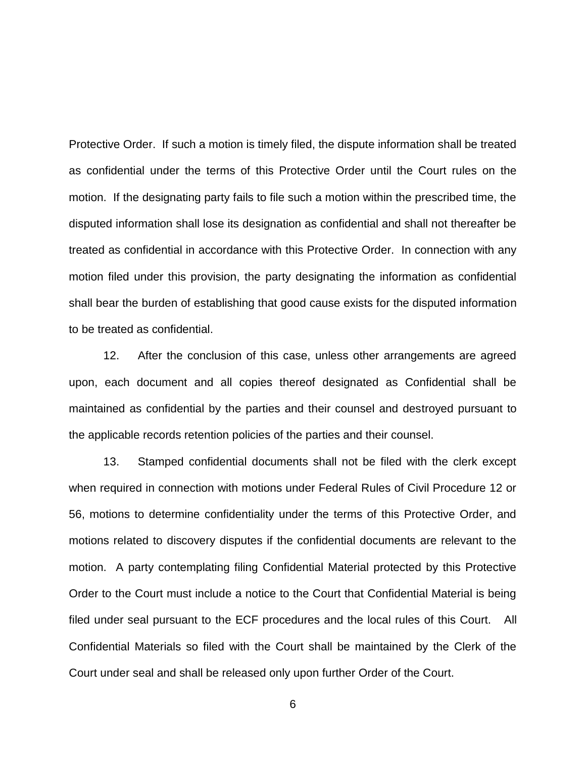Protective Order. If such a motion is timely filed, the dispute information shall be treated as confidential under the terms of this Protective Order until the Court rules on the motion. If the designating party fails to file such a motion within the prescribed time, the disputed information shall lose its designation as confidential and shall not thereafter be treated as confidential in accordance with this Protective Order. In connection with any motion filed under this provision, the party designating the information as confidential shall bear the burden of establishing that good cause exists for the disputed information to be treated as confidential.

12. After the conclusion of this case, unless other arrangements are agreed upon, each document and all copies thereof designated as Confidential shall be maintained as confidential by the parties and their counsel and destroyed pursuant to the applicable records retention policies of the parties and their counsel.

13. Stamped confidential documents shall not be filed with the clerk except when required in connection with motions under Federal Rules of Civil Procedure 12 or 56, motions to determine confidentiality under the terms of this Protective Order, and motions related to discovery disputes if the confidential documents are relevant to the motion. A party contemplating filing Confidential Material protected by this Protective Order to the Court must include a notice to the Court that Confidential Material is being filed under seal pursuant to the ECF procedures and the local rules of this Court. All Confidential Materials so filed with the Court shall be maintained by the Clerk of the Court under seal and shall be released only upon further Order of the Court.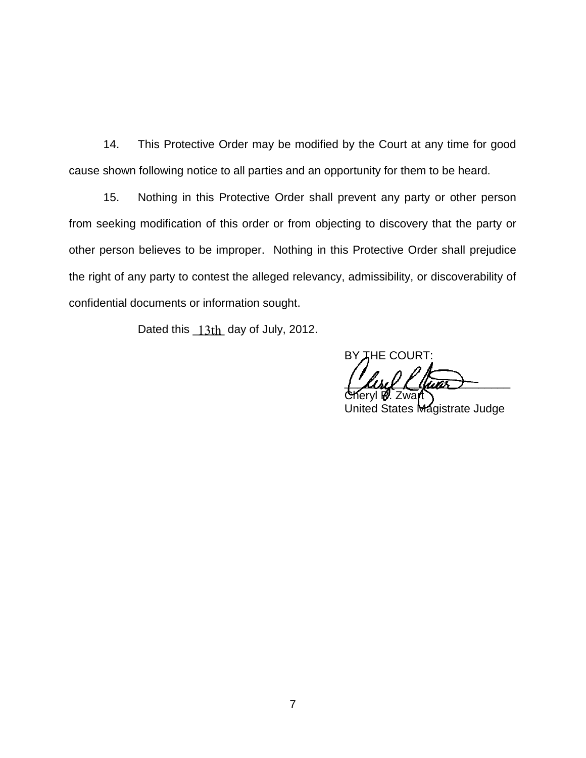14. This Protective Order may be modified by the Court at any time for good cause shown following notice to all parties and an opportunity for them to be heard.

15. Nothing in this Protective Order shall prevent any party or other person from seeking modification of this order or from objecting to discovery that the party or other person believes to be improper. Nothing in this Protective Order shall prejudice the right of any party to contest the alleged relevancy, admissibility, or discoverability of confidential documents or information sought.

Dated this  $13$ th day of July, 2012.

BY THE COURT:

 $\frac{1}{2}$  limits  $\frac{1}{2}$ Cheryl **R.** Zwart

United States Magistrate Judge